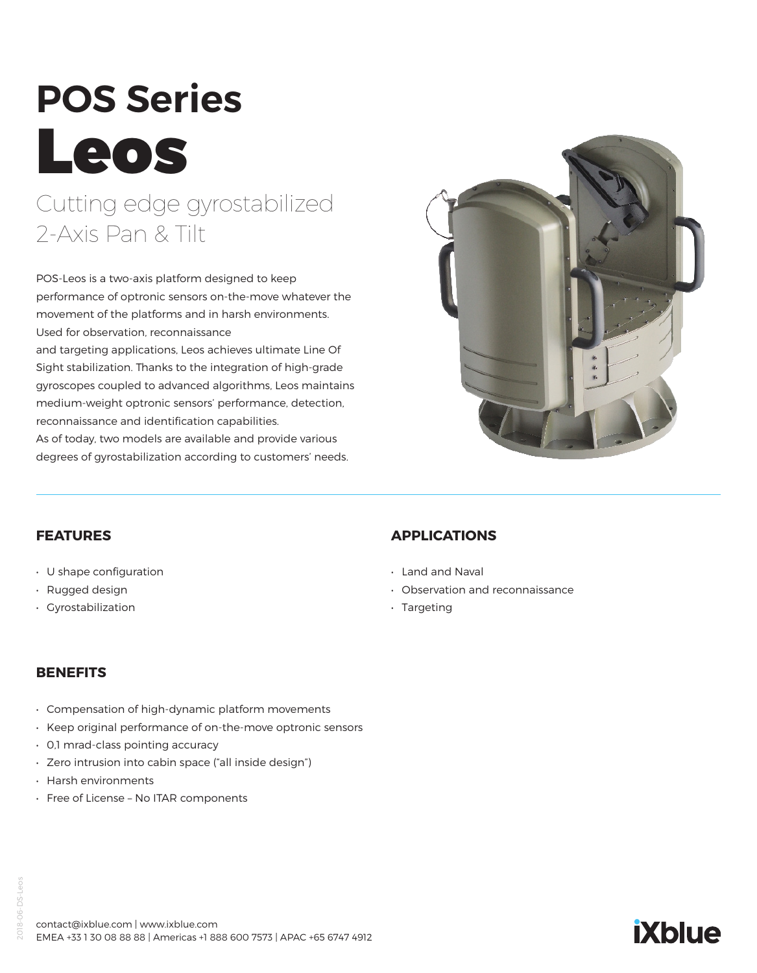# **POS Series** Leos Cutting edge gyrostabilized

## 2-Axis Pan & Tilt

POS-Leos is a two-axis platform designed to keep performance of optronic sensors on-the-move whatever the movement of the platforms and in harsh environments. Used for observation, reconnaissance

and targeting applications, Leos achieves ultimate Line Of Sight stabilization. Thanks to the integration of high-grade gyroscopes coupled to advanced algorithms, Leos maintains medium-weight optronic sensors' performance, detection, reconnaissance and identification capabilities.

As of today, two models are available and provide various degrees of gyrostabilization according to customers' needs.



#### **FEATURES**

- U shape configuration
- Rugged design
- Gyrostabilization

### **APPLICATIONS**

- Land and Naval
- Observation and reconnaissance
- Targeting

#### **BENEFITS**

- Compensation of high-dynamic platform movements
- Keep original performance of on-the-move optronic sensors
- 0,1 mrad-class pointing accuracy
- Zero intrusion into cabin space ("all inside design")
- Harsh environments
- Free of License No ITAR components

### **iXblue**